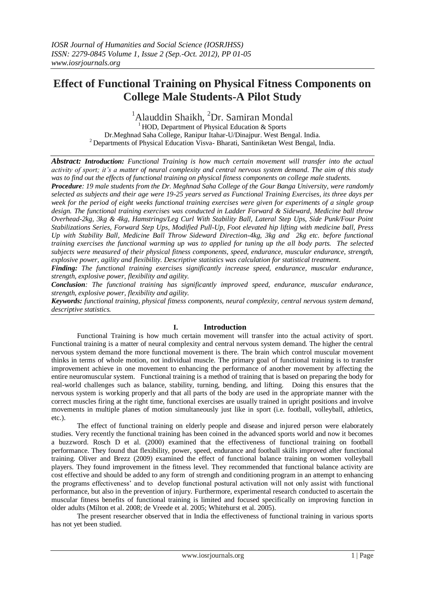# **Effect of Functional Training on Physical Fitness Components on College Male Students-A Pilot Study**

<sup>1</sup>Alauddin Shaikh, <sup>2</sup>Dr. Samiran Mondal

 $<sup>1</sup>$  HOD, Department of Physical Education & Sports</sup> Dr.Meghnad Saha College, Ranipur Itahar-U/Dinajpur. West Bengal. India. <sup>2</sup> Departments of Physical Education Visva- Bharati, Santiniketan West Bengal, India.

*Abstract: Introduction: Functional Training is how much certain movement will transfer into the actual activity of sport; it's a matter of neural complexity and central nervous system demand. The aim of this study was to find out the effects of functional training on physical fitness components on college male students.*

*Procedure: 19 male students from the Dr. Meghnad Saha College of the Gour Banga University, were randomly selected as subjects and their age were 19-25 years served as Functional Training Exercises, its three days per week for the period of eight weeks functional training exercises were given for experiments of a single group design. The functional training exercises was conducted in Ladder Forward & Sideward, Medicine ball throw Overhead-2kg, 3kg & 4kg, Hamstrings/Leg Curl With Stability Ball, Lateral Step Ups, Side Punk/Four Point Stabilizations Series, Forward Step Ups, Modified Pull-Up, Foot elevated hip lifting with medicine ball, Press Up with Stability Ball, Medicine Ball Throw Sideward Direction-4kg, 3kg and 2kg etc. before functional training exercises the functional warming up was to applied for tuning up the all body parts. The selected subjects were measured of their physical fitness components, speed, endurance, muscular endurance, strength, explosive power, agility and flexibility. Descriptive statistics was calculation for statistical treatment.*

*Finding: The functional training exercises significantly increase speed, endurance, muscular endurance, strength, explosive power, flexibility and agility.*

*Conclusion: The functional training has significantly improved speed, endurance, muscular endurance, strength, explosive power, flexibility and agility.*

*Keywords: functional training, physical fitness components, neural complexity, central nervous system demand, descriptive statistics.*

### **I. Introduction**

Functional Training is how much certain movement will transfer into the actual activity of sport. Functional training is a matter of neural complexity and central nervous system demand. The higher the central nervous system demand the more functional movement is there. The brain which control muscular movement thinks in terms of whole motion, not individual muscle. The primary goal of functional training is to transfer improvement achieve in one movement to enhancing the performance of another movement by affecting the entire neuromuscular system. Functional training is a method of training that is based on preparing the body for real-world challenges such as balance, stability, turning, bending, and lifting. Doing this ensures that the nervous system is working properly and that all parts of the body are used in the appropriate manner with the correct muscles firing at the right time, functional exercises are usually trained in upright positions and involve movements in multiple planes of motion simultaneously just like in sport (i.e. football, volleyball, athletics, etc.).

The effect of functional training on elderly people and disease and injured person were elaborately studies. Very recently the functional training has been coined in the advanced sports world and now it becomes a buzzword. Rosch D et al. (2000) examined that the effectiveness of functional training on football performance. They found that flexibility, power, speed, endurance and football skills improved after functional training. Oliver and Brezz (2009) examined the effect of functional balance training on women volleyball players. They found improvement in the fitness level. They recommended that functional balance activity are cost effective and should be added to any form of strength and conditioning program in an attempt to enhancing the programs effectiveness' and to develop functional postural activation will not only assist with functional performance, but also in the prevention of injury. Furthermore, experimental research conducted to ascertain the muscular fitness benefits of functional training is limited and focused specifically on improving function in older adults (Milton et al. 2008; de Vreede et al. 2005; Whitehurst et al. 2005).

The present researcher observed that in India the effectiveness of functional training in various sports has not yet been studied.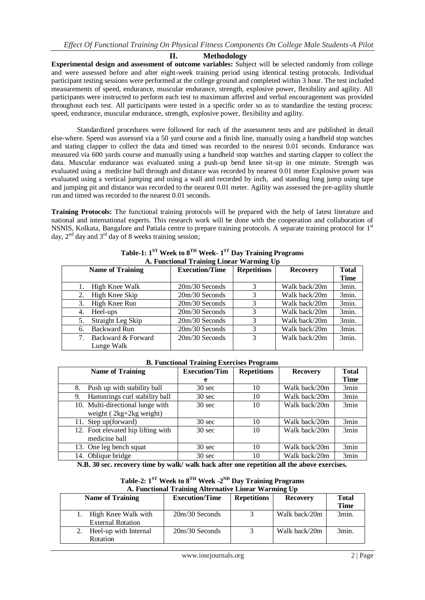**II. Methodology**

**Experimental design and assessment of outcome variables:** Subject will be selected randomly from college and were assessed before and after eight-week training period using identical testing protocols. Individual participant testing sessions were performed at the college ground and completed within 3 hour. The test included measurements of speed, endurance, muscular endurance, strength, explosive power, flexibility and agility. All participants were instructed to perform each test to maximum affected and verbal encouragement was provided throughout each test. All participants were tested in a specific order so as to standardize the testing process: speed, endurance, muscular endurance, strength, explosive power, flexibility and agility.

Standardized procedures were followed for each of the assessment tests and are published in detail else-where. Speed was assessed via a 50 yard course and a finish line, manually using a handheld stop watches and stating clapper to collect the data and timed was recorded to the nearest 0.01 seconds. Endurance was measured via 600 yards course and manually using a handheld stop watches and starting clapper to collect the data. Muscular endurance was evaluated using a push-up bend knee sit-up in one minute. Strength was evaluated using a medicine ball through and distance was recorded by nearest 0.01 meter Explosive power was evaluated using a vertical jumping and using a wall and recorded by inch, and standing long jump using tape and jumping pit and distance was recorded to the nearest 0.01 meter. Agility was assessed the pre-agility shuttle run and timed was recorded to the nearest 0.01 seconds.

**Training Protocols:** The functional training protocols will be prepared with the help of latest literature and national and international experts. This research work will be done with the cooperation and collaboration of NSNIS, Kolkata, Bangalore and Patiala centre to prepare training protocols. A separate training protocol for 1st day,  $2<sup>nd</sup>$  day and  $3<sup>rd</sup>$  day of 8 weeks training session;

|    | A. Functional Training Linear Warning Up |                       |                    |                 |              |  |  |
|----|------------------------------------------|-----------------------|--------------------|-----------------|--------------|--|--|
|    | <b>Name of Training</b>                  | <b>Execution/Time</b> | <b>Repetitions</b> | <b>Recovery</b> | <b>Total</b> |  |  |
|    |                                          |                       |                    |                 | <b>Time</b>  |  |  |
| 1. | High Knee Walk                           | $20m/30$ Seconds      | 3                  | Walk back/20m   | 3min.        |  |  |
|    | High Knee Skip                           | $20m/30$ Seconds      | 3                  | Walk back/20m   | 3min.        |  |  |
| 3. | High Knee Run                            | 20m/30 Seconds        | 3                  | Walk back/20m   | 3min.        |  |  |
| 4. | Heel-ups                                 | $20m/30$ Seconds      | 3                  | Walk back/20m   | 3min.        |  |  |
| 5. | Straight Leg Skip                        | $20m/30$ Seconds      | 3                  | Walk back/20m   | 3min.        |  |  |
| 6. | <b>Backward Run</b>                      | $20m/30$ Seconds      | 3                  | Walk back/20m   | 3min.        |  |  |
|    | Backward & Forward                       | $20m/30$ Seconds      | 3                  | Walk back/20m   | 3min.        |  |  |
|    | Lunge Walk                               |                       |                    |                 |              |  |  |

**Table-1: 1 ST Week to 8 TH Week- 1 ST Day Training Programs A. Functional Training Linear Warming Up**

### **B. Functional Training Exercises Programs**

| <b>Name of Training</b>              | <b>Execution/Tim</b> | <b>Repetitions</b> | <b>Recovery</b> | <b>Total</b> |
|--------------------------------------|----------------------|--------------------|-----------------|--------------|
|                                      | e                    |                    |                 | <b>Time</b>  |
| Push up with stability ball<br>8.    | $30 \text{ sec}$     | 10                 | Walk back/20m   | 3min         |
| Hamstrings curl stability ball<br>9. | $30 \text{ sec}$     | 10                 | Walk back/20m   | 3min         |
| 10. Multi-directional lunge with     | $30 \text{ sec}$     | 10                 | Walk back/20m   | 3min         |
| weight $(2kg+2kg$ weight)            |                      |                    |                 |              |
| 11. Step up (forward)                | $30 \text{ sec}$     | 10                 | Walk back/20m   | 3min         |
| 12. Foot elevated hip lifting with   | $30 \text{ sec}$     | 10                 | Walk back/20m   | 3min         |
| medicine ball                        |                      |                    |                 |              |
| 13. One leg bench squat              | $30 \text{ sec}$     | 10                 | Walk back/20m   | 3min         |
| 14. Oblique bridge                   | $30 \text{ sec}$     | 10                 | Walk back/20m   | 3min         |

**N.B. 30 sec. recovery time by walk/ walk back after one repetition all the above exercises.** 

**Table-2: 1 ST Week to 8 TH Week -2 ND Day Training Programs A. Functional Training Alternative Linear Warming Up**

| <b>Name of Training</b>                         | <b>Execution/Time</b> | <b>Repetitions</b> | <b>Recovery</b> | Total<br>Time |
|-------------------------------------------------|-----------------------|--------------------|-----------------|---------------|
| High Knee Walk with<br><b>External Rotation</b> | $20m/30$ Seconds      |                    | Walk back/20m   | 3min.         |
| Heel-up with Internal<br><b>Rotation</b>        | $20m/30$ Seconds      |                    | Walk back/20m   | 3min.         |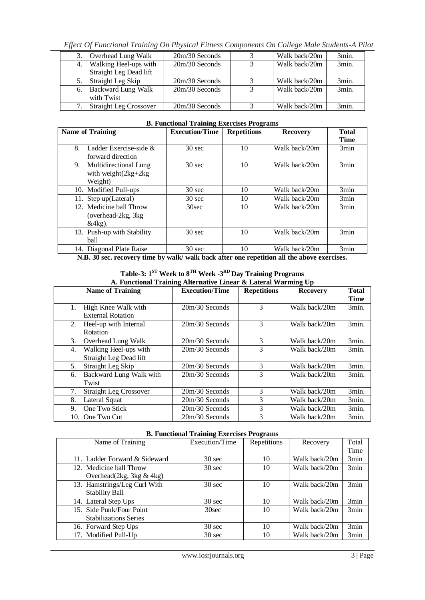*Effect Of Functional Training On Physical Fitness Components On College Male Students-A Pilot* 

| 3. | Overhead Lung Walk            | $20m/30$ Seconds | Walk back/20m | 3min. |
|----|-------------------------------|------------------|---------------|-------|
| 4. | Walking Heel-ups with         | $20m/30$ Seconds | Walk back/20m | 3min. |
|    | Straight Leg Dead lift        |                  |               |       |
|    | Straight Leg Skip             | $20m/30$ Seconds | Walk back/20m | 3min. |
| 6. | Backward Lung Walk            | $20m/30$ Seconds | Walk back/20m | 3min. |
|    | with Twist                    |                  |               |       |
|    | <b>Straight Leg Crossover</b> | $20m/30$ Seconds | Walk back/20m | 3min. |

| D. Functional Training Excretises I rograms |                       |                                     |                 |              |  |  |
|---------------------------------------------|-----------------------|-------------------------------------|-----------------|--------------|--|--|
| <b>Name of Training</b>                     | <b>Execution/Time</b> | <b>Repetitions</b>                  | <b>Recovery</b> | <b>Total</b> |  |  |
|                                             |                       |                                     |                 | <b>Time</b>  |  |  |
| Ladder Exercise-side $\&$<br>8.             | $30 \text{ sec}$      | 10                                  | Walk back/20m   | 3min         |  |  |
| forward direction                           |                       |                                     |                 |              |  |  |
| Multidirectional Lung<br>9.                 | $30 \text{ sec}$      | 10                                  | Walk back/20m   | 3min         |  |  |
| with weight $(2kg+2kg)$                     |                       |                                     |                 |              |  |  |
| Weight)                                     |                       |                                     |                 |              |  |  |
| 10. Modified Pull-ups                       | $30 \text{ sec}$      | 10                                  | Walk back/20m   | 3min         |  |  |
| 11. Step up(Lateral)                        | $30 \text{ sec}$      | 10                                  | Walk back/20m   | 3min         |  |  |
| 12. Medicine ball Throw                     | 30sec                 | 10                                  | Walk back/20m   | 3min         |  |  |
| (overhead-2kg, 3kg)                         |                       |                                     |                 |              |  |  |
| $&4kg$ ).                                   |                       |                                     |                 |              |  |  |
| 13. Push-up with Stability                  | $30 \text{ sec}$      | 10                                  | Walk back/20m   | 3min         |  |  |
| ball                                        |                       |                                     |                 |              |  |  |
| 14. Diagonal Plate Raise                    | $30 \text{ sec}$      | 10                                  | Walk back/20m   | 3min         |  |  |
| $\mathbf{r}$ $\mathbf{r}$ $\mathbf{r}$      | $\cdots$<br>.         | $\mathbf{r}$<br>$\cdot \cdot \cdot$ | .               |              |  |  |

# **B. Functional Training Exercises Programs**

**N.B. 30 sec. recovery time by walk/ walk back after one repetition all the above exercises.** 

|  | Table-3: $1^{ST}$ Week to $8^{TH}$ Week -3 <sup>RD</sup> Day Training Programs |  |  |
|--|--------------------------------------------------------------------------------|--|--|
|  | A. Functional Training Alternative Linear & Lateral Warming Up                 |  |  |

| A. Functional Training Alternative Linear & Lateral Warming Up |                       |                    |                 |              |  |
|----------------------------------------------------------------|-----------------------|--------------------|-----------------|--------------|--|
| <b>Name of Training</b>                                        | <b>Execution/Time</b> | <b>Repetitions</b> | <b>Recovery</b> | <b>Total</b> |  |
|                                                                |                       |                    |                 | <b>Time</b>  |  |
| High Knee Walk with<br>1.                                      | $20m/30$ Seconds      | 3                  | Walk back/20m   | 3min.        |  |
| <b>External Rotation</b>                                       |                       |                    |                 |              |  |
| 2.<br>Heel-up with Internal                                    | $20m/30$ Seconds      | 3                  | Walk back/20m   | 3min.        |  |
| Rotation                                                       |                       |                    |                 |              |  |
| 3.<br>Overhead Lung Walk                                       | $20m/30$ Seconds      | 3                  | Walk back/20m   | 3min.        |  |
| Walking Heel-ups with<br>4.                                    | $20m/30$ Seconds      | 3                  | Walk back/20m   | 3min.        |  |
| Straight Leg Dead lift                                         |                       |                    |                 |              |  |
| Straight Leg Skip<br>5.                                        | $20m/30$ Seconds      | 3                  | Walk back/20m   | 3min.        |  |
| Backward Lung Walk with<br>6.                                  | $20m/30$ Seconds      | 3                  | Walk back/20m   | 3min.        |  |
| Twist                                                          |                       |                    |                 |              |  |
| 7.<br><b>Straight Leg Crossover</b>                            | $20m/30$ Seconds      | 3                  | Walk back/20m   | 3min.        |  |
| 8.<br>Lateral Squat                                            | $20m/30$ Seconds      | 3                  | Walk back/20m   | 3min.        |  |
| One Two Stick<br>9.                                            | 20m/30 Seconds        | 3                  | Walk back/20m   | 3min.        |  |
| 10. One Two Cut                                                | $20m/30$ Seconds      | 3                  | Walk back/20m   | 3min.        |  |

### **B. Functional Training Exercises Programs**

| Name of Training              | Execution/Time   | Repetitions | Recovery      | Total |
|-------------------------------|------------------|-------------|---------------|-------|
|                               |                  |             |               | Time  |
| 11. Ladder Forward & Sideward | $30 \text{ sec}$ | 10          | Walk back/20m | 3min  |
| 12. Medicine ball Throw       | $30 \text{ sec}$ | 10          | Walk back/20m | 3min  |
| Overhead $(2kg, 3kg & 4kg)$   |                  |             |               |       |
| 13. Hamstrings/Leg Curl With  | $30 \text{ sec}$ | 10          | Walk back/20m | 3min  |
| <b>Stability Ball</b>         |                  |             |               |       |
| 14. Lateral Step Ups          | $30 \text{ sec}$ | 10          | Walk back/20m | 3min  |
| 15. Side Punk/Four Point      | 30sec            | 10          | Walk back/20m | 3min  |
| <b>Stabilizations Series</b>  |                  |             |               |       |
| 16. Forward Step Ups          | $30 \text{ sec}$ | 10          | Walk back/20m | 3min  |
| 17. Modified Pull-Up          | $30 \text{ sec}$ | 10          | Walk back/20m | 3min  |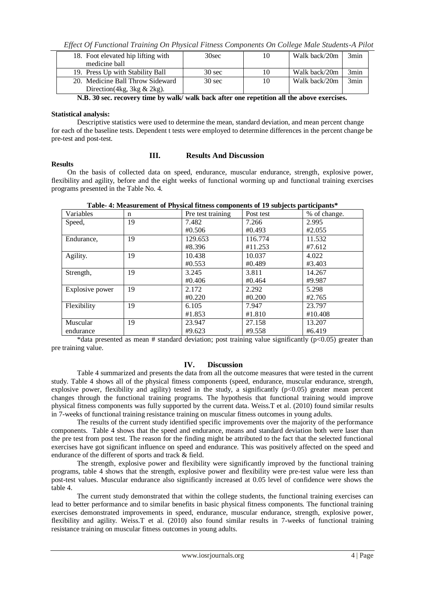*Effect Of Functional Training On Physical Fitness Components On College Male Students-A Pilot* 

| 18. Foot elevated hip lifting with | 30sec            | 10 | Walk back/20m | 3min |
|------------------------------------|------------------|----|---------------|------|
| medicine ball                      |                  |    |               |      |
| 19. Press Up with Stability Ball   | $30 \text{ sec}$ | 10 | Walk back/20m | 3min |
| 20. Medicine Ball Throw Sideward   | $30 \text{ sec}$ | 10 | Walk back/20m | 3min |
| Direction (4kg, 3kg $& 2kg$ ).     |                  |    |               |      |

**N.B. 30 sec. recovery time by walk/ walk back after one repetition all the above exercises.** 

### **Statistical analysis:**

Descriptive statistics were used to determine the mean, standard deviation, and mean percent change for each of the baseline tests. Dependent t tests were employed to determine differences in the percent change be pre-test and post-test.

#### **Results**

## **III. Results And Discussion**

 On the basis of collected data on speed, endurance, muscular endurance, strength, explosive power, flexibility and agility, before and the eight weeks of functional worming up and functional training exercises programs presented in the Table No. 4.

| Variables       | n  | Pre test training | Post test | % of change. |
|-----------------|----|-------------------|-----------|--------------|
| Speed,          | 19 | 7.482             | 7.266     | 2.995        |
|                 |    | #0.506            | #0.493    | #2.055       |
| Endurance,      | 19 | 129.653           | 116.774   | 11.532       |
|                 |    | #8.396            | #11.253   | #7.612       |
| Agility.        | 19 | 10.438            | 10.037    | 4.022        |
|                 |    | #0.553            | #0.489    | #3.403       |
| Strength,       | 19 | 3.245             | 3.811     | 14.267       |
|                 |    | #0.406            | #0.464    | #9.987       |
| Explosive power | 19 | 2.172             | 2.292     | 5.298        |
|                 |    | #0.220            | #0.200    | #2.765       |
| Flexibility     | 19 | 6.105             | 7.947     | 23.797       |
|                 |    | #1.853            | #1.810    | #10.408      |
| Muscular        | 19 | 23.947            | 27.158    | 13.207       |
| endurance       |    | #9.623            | #9.558    | #6.419       |

**Table- 4: Measurement of Physical fitness components of 19 subjects participants\***

\*data presented as mean # standard deviation; post training value significantly ( $p<0.05$ ) greater than pre training value.

# **IV. Discussion**

Table 4 summarized and presents the data from all the outcome measures that were tested in the current study. Table 4 shows all of the physical fitness components (speed, endurance, muscular endurance, strength, explosive power, flexibility and agility) tested in the study, a significantly  $(p<0.05)$  greater mean percent changes through the functional training programs. The hypothesis that functional training would improve physical fitness components was fully supported by the current data. Weiss.T et al. (2010) found similar results in 7-weeks of functional training resistance training on muscular fitness outcomes in young adults.

The results of the current study identified specific improvements over the majority of the performance components. Table 4 shows that the speed and endurance, means and standard deviation both were laser than the pre test from post test. The reason for the finding might be attributed to the fact that the selected functional exercises have got significant influence on speed and endurance. This was positively affected on the speed and endurance of the different of sports and track & field.

The strength, explosive power and flexibility were significantly improved by the functional training programs, table 4 shows that the strength, explosive power and flexibility were pre-test value were less than post-test values. Muscular endurance also significantly increased at 0.05 level of confidence were shows the table 4.

The current study demonstrated that within the college students, the functional training exercises can lead to better performance and to similar benefits in basic physical fitness components. The functional training exercises demonstrated improvements in speed, endurance, muscular endurance, strength, explosive power, flexibility and agility. Weiss.T et al. (2010) also found similar results in 7-weeks of functional training resistance training on muscular fitness outcomes in young adults.